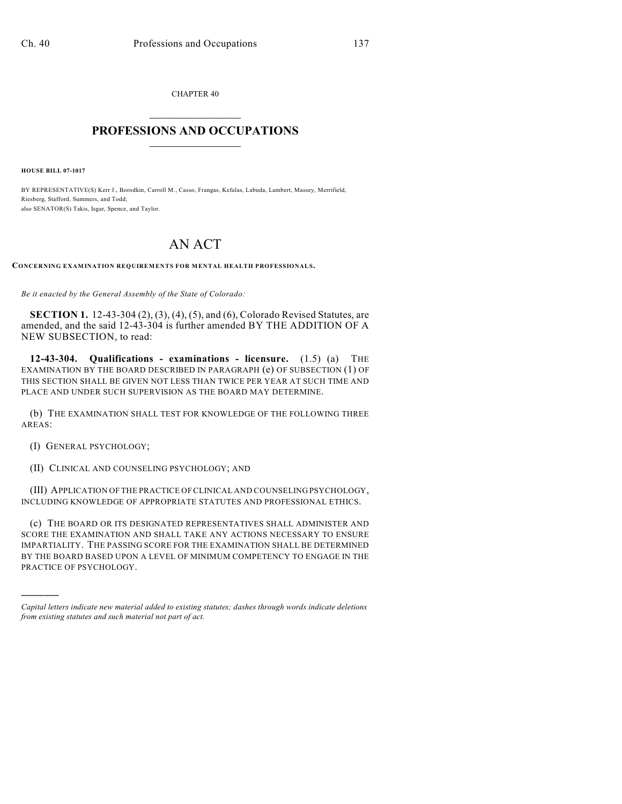CHAPTER 40  $\mathcal{L}_\text{max}$  . The set of the set of the set of the set of the set of the set of the set of the set of the set of the set of the set of the set of the set of the set of the set of the set of the set of the set of the set

## **PROFESSIONS AND OCCUPATIONS**  $\frac{1}{2}$  ,  $\frac{1}{2}$  ,  $\frac{1}{2}$  ,  $\frac{1}{2}$  ,  $\frac{1}{2}$  ,  $\frac{1}{2}$

**HOUSE BILL 07-1017**

BY REPRESENTATIVE(S) Kerr J., Borodkin, Carroll M., Casso, Frangas, Kefalas, Labuda, Lambert, Massey, Merrifield, Riesberg, Stafford, Summers, and Todd; also SENATOR(S) Takis, Isgar, Spence, and Taylor.

## AN ACT

**CONCERNING EXAMINATION REQUIREMENTS FOR MENTAL HEALTH PROFESSIONALS.**

*Be it enacted by the General Assembly of the State of Colorado:*

**SECTION 1.** 12-43-304 (2), (3), (4), (5), and (6), Colorado Revised Statutes, are amended, and the said 12-43-304 is further amended BY THE ADDITION OF A NEW SUBSECTION, to read:

**12-43-304. Qualifications - examinations - licensure.** (1.5) (a) THE EXAMINATION BY THE BOARD DESCRIBED IN PARAGRAPH (e) OF SUBSECTION (1) OF THIS SECTION SHALL BE GIVEN NOT LESS THAN TWICE PER YEAR AT SUCH TIME AND PLACE AND UNDER SUCH SUPERVISION AS THE BOARD MAY DETERMINE.

(b) THE EXAMINATION SHALL TEST FOR KNOWLEDGE OF THE FOLLOWING THREE AREAS:

(I) GENERAL PSYCHOLOGY;

)))))

(II) CLINICAL AND COUNSELING PSYCHOLOGY; AND

(III) APPLICATION OF THE PRACTICE OF CLINICAL AND COUNSELING PSYCHOLOGY, INCLUDING KNOWLEDGE OF APPROPRIATE STATUTES AND PROFESSIONAL ETHICS.

(c) THE BOARD OR ITS DESIGNATED REPRESENTATIVES SHALL ADMINISTER AND SCORE THE EXAMINATION AND SHALL TAKE ANY ACTIONS NECESSARY TO ENSURE IMPARTIALITY. THE PASSING SCORE FOR THE EXAMINATION SHALL BE DETERMINED BY THE BOARD BASED UPON A LEVEL OF MINIMUM COMPETENCY TO ENGAGE IN THE PRACTICE OF PSYCHOLOGY.

*Capital letters indicate new material added to existing statutes; dashes through words indicate deletions from existing statutes and such material not part of act.*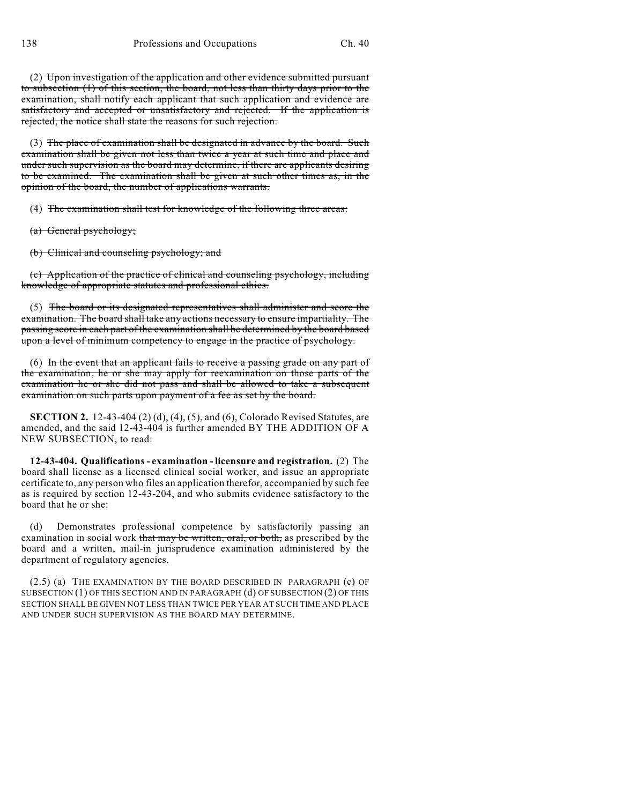(2) Upon investigation of the application and other evidence submitted pursuant to subsection (1) of this section, the board, not less than thirty days prior to the examination, shall notify each applicant that such application and evidence are satisfactory and accepted or unsatisfactory and rejected. If the application is rejected, the notice shall state the reasons for such rejection.

(3) The place of examination shall be designated in advance by the board. Such examination shall be given not less than twice a year at such time and place and under such supervision as the board may determine, if there are applicants desiring to be examined. The examination shall be given at such other times as, in the opinion of the board, the number of applications warrants.

(4) The examination shall test for knowledge of the following three areas:

- (a) General psychology;
- (b) Clinical and counseling psychology; and

(c) Application of the practice of clinical and counseling psychology, including knowledge of appropriate statutes and professional ethics.

(5) The board or its designated representatives shall administer and score the examination. The board shall take any actions necessary to ensure impartiality. The passing score in each part of the examination shall be determined by the board based upon a level of minimum competency to engage in the practice of psychology.

(6) In the event that an applicant fails to receive a passing grade on any part of the examination, he or she may apply for reexamination on those parts of the examination he or she did not pass and shall be allowed to take a subsequent examination on such parts upon payment of a fee as set by the board.

**SECTION 2.** 12-43-404 (2) (d), (4), (5), and (6), Colorado Revised Statutes, are amended, and the said 12-43-404 is further amended BY THE ADDITION OF A NEW SUBSECTION, to read:

**12-43-404. Qualifications - examination - licensure and registration.** (2) The board shall license as a licensed clinical social worker, and issue an appropriate certificate to, any person who files an application therefor, accompanied by such fee as is required by section 12-43-204, and who submits evidence satisfactory to the board that he or she:

(d) Demonstrates professional competence by satisfactorily passing an examination in social work that may be written, oral, or both, as prescribed by the board and a written, mail-in jurisprudence examination administered by the department of regulatory agencies.

(2.5) (a) THE EXAMINATION BY THE BOARD DESCRIBED IN PARAGRAPH (c) OF SUBSECTION (1) OF THIS SECTION AND IN PARAGRAPH (d) OF SUBSECTION (2) OF THIS SECTION SHALL BE GIVEN NOT LESS THAN TWICE PER YEAR AT SUCH TIME AND PLACE AND UNDER SUCH SUPERVISION AS THE BOARD MAY DETERMINE.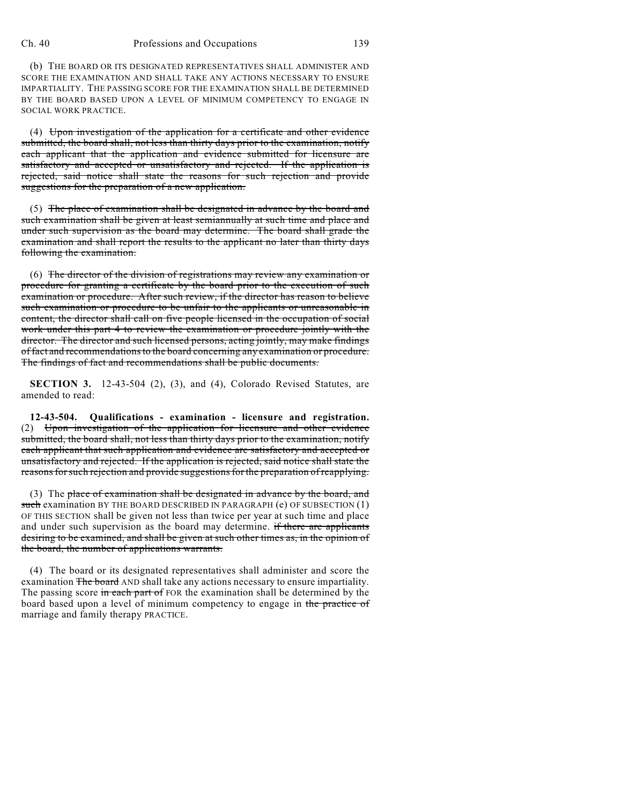## Ch. 40 Professions and Occupations 139

(b) THE BOARD OR ITS DESIGNATED REPRESENTATIVES SHALL ADMINISTER AND SCORE THE EXAMINATION AND SHALL TAKE ANY ACTIONS NECESSARY TO ENSURE IMPARTIALITY. THE PASSING SCORE FOR THE EXAMINATION SHALL BE DETERMINED BY THE BOARD BASED UPON A LEVEL OF MINIMUM COMPETENCY TO ENGAGE IN SOCIAL WORK PRACTICE.

(4) Upon investigation of the application for a certificate and other evidence submitted, the board shall, not less than thirty days prior to the examination, notify each applicant that the application and evidence submitted for licensure are satisfactory and accepted or unsatisfactory and rejected. If the application is rejected, said notice shall state the reasons for such rejection and provide suggestions for the preparation of a new application.

(5) The place of examination shall be designated in advance by the board and such examination shall be given at least semiannually at such time and place and under such supervision as the board may determine. The board shall grade the examination and shall report the results to the applicant no later than thirty days following the examination.

(6) The director of the division of registrations may review any examination or procedure for granting a certificate by the board prior to the execution of such examination or procedure. After such review, if the director has reason to believe such examination or procedure to be unfair to the applicants or unreasonable in content, the director shall call on five people licensed in the occupation of social work under this part 4 to review the examination or procedure jointly with the director. The director and such licensed persons, acting jointly, may make findings of fact and recommendations to the board concerning any examination or procedure. The findings of fact and recommendations shall be public documents.

**SECTION 3.** 12-43-504 (2), (3), and (4), Colorado Revised Statutes, are amended to read:

**12-43-504. Qualifications - examination - licensure and registration.** (2) Upon investigation of the application for licensure and other evidence submitted, the board shall, not less than thirty days prior to the examination, notify each applicant that such application and evidence are satisfactory and accepted or unsatisfactory and rejected. If the application is rejected, said notice shall state the reasons for such rejection and provide suggestions for the preparation of reapplying.

(3) The place of examination shall be designated in advance by the board, and such examination BY THE BOARD DESCRIBED IN PARAGRAPH (e) OF SUBSECTION (1) OF THIS SECTION shall be given not less than twice per year at such time and place and under such supervision as the board may determine. if there are applicants desiring to be examined, and shall be given at such other times as, in the opinion of the board, the number of applications warrants.

(4) The board or its designated representatives shall administer and score the examination The board AND shall take any actions necessary to ensure impartiality. The passing score in each part of FOR the examination shall be determined by the board based upon a level of minimum competency to engage in the practice of marriage and family therapy PRACTICE.